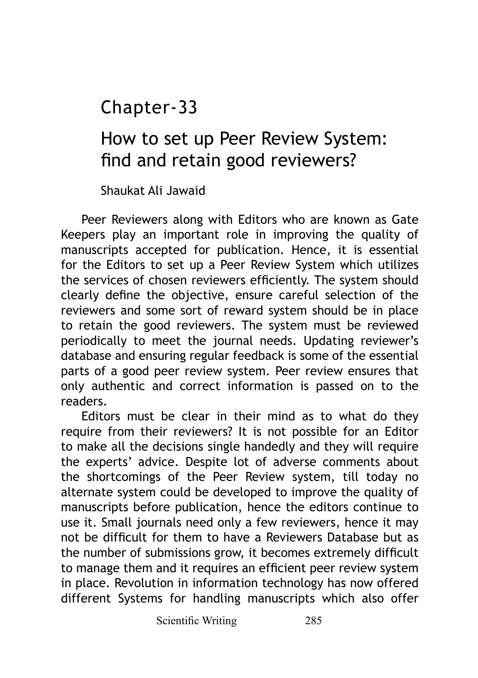Chapter-33

# How to set up Peer Review System: find and retain good reviewers?

Shaukat Ali Jawaid

Peer Reviewers along with Editors who are known as Gate Keepers play an important role in improving the quality of manuscripts accepted for publication. Hence, it is essential for the Editors to set up a Peer Review System which utilizes the services of chosen reviewers efficiently. The system should clearly define the objective, ensure careful selection of the reviewers and some sort of reward system should be in place to retain the good reviewers. The system must be reviewed periodically to meet the journal needs. Updating reviewer's database and ensuring regular feedback is some of the essential parts of a good peer review system. Peer review ensures that only authentic and correct information is passed on to the readers.

Editors must be clear in their mind as to what do they require from their reviewers? It is not possible for an Editor to make all the decisions single handedly and they will require the experts' advice. Despite lot of adverse comments about the shortcomings of the Peer Review system, till today no alternate system could be developed to improve the quality of manuscripts before publication, hence the editors continue to use it. Small journals need only a few reviewers, hence it may not be difficult for them to have a Reviewers Database but as the number of submissions grow, it becomes extremely difficult to manage them and it requires an efficient peer review system in place. Revolution in information technology has now offered different Systems for handling manuscripts which also offer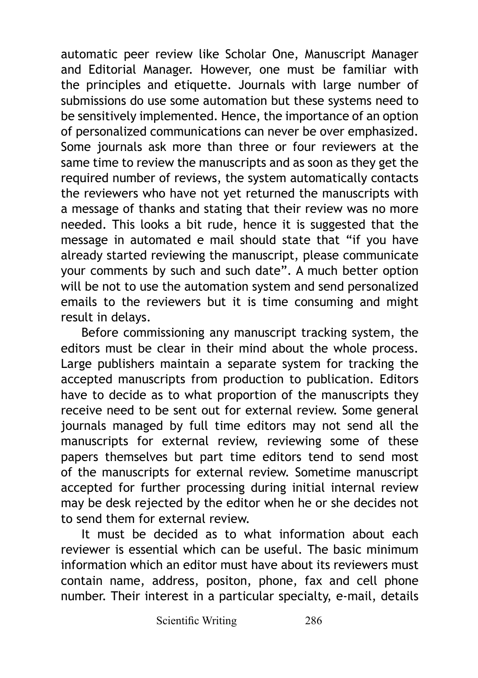automatic peer review like Scholar One, Manuscript Manager and Editorial Manager. However, one must be familiar with the principles and etiquette. Journals with large number of submissions do use some automation but these systems need to be sensitively implemented. Hence, the importance of an option of personalized communications can never be over emphasized. Some journals ask more than three or four reviewers at the same time to review the manuscripts and as soon as they get the required number of reviews, the system automatically contacts the reviewers who have not yet returned the manuscripts with a message of thanks and stating that their review was no more needed. This looks a bit rude, hence it is suggested that the message in automated e mail should state that "if you have already started reviewing the manuscript, please communicate your comments by such and such date". A much better option will be not to use the automation system and send personalized emails to the reviewers but it is time consuming and might result in delays.

Before commissioning any manuscript tracking system, the editors must be clear in their mind about the whole process. Large publishers maintain a separate system for tracking the accepted manuscripts from production to publication. Editors have to decide as to what proportion of the manuscripts they receive need to be sent out for external review. Some general journals managed by full time editors may not send all the manuscripts for external review, reviewing some of these papers themselves but part time editors tend to send most of the manuscripts for external review. Sometime manuscript accepted for further processing during initial internal review may be desk rejected by the editor when he or she decides not to send them for external review.

It must be decided as to what information about each reviewer is essential which can be useful. The basic minimum information which an editor must have about its reviewers must contain name, address, positon, phone, fax and cell phone number. Their interest in a particular specialty, e-mail, details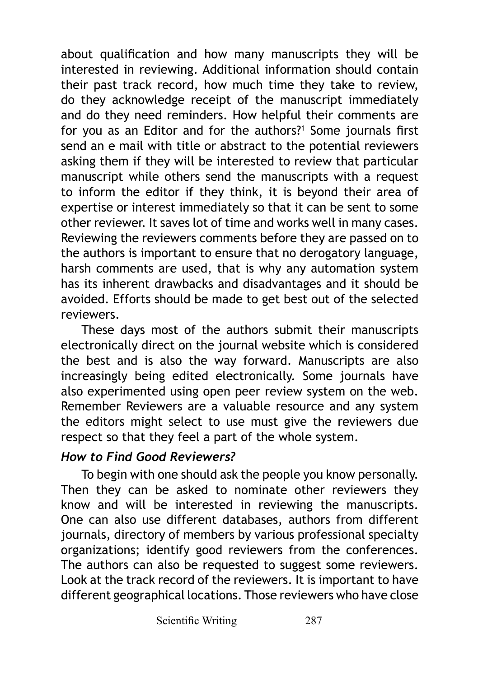about qualification and how many manuscripts they will be interested in reviewing. Additional information should contain their past track record, how much time they take to review, do they acknowledge receipt of the manuscript immediately and do they need reminders. How helpful their comments are for you as an Editor and for the authors?<sup>1</sup> Some journals first send an e mail with title or abstract to the potential reviewers asking them if they will be interested to review that particular manuscript while others send the manuscripts with a request to inform the editor if they think, it is beyond their area of expertise or interest immediately so that it can be sent to some other reviewer. It saves lot of time and works well in many cases. Reviewing the reviewers comments before they are passed on to the authors is important to ensure that no derogatory language, harsh comments are used, that is why any automation system has its inherent drawbacks and disadvantages and it should be avoided. Efforts should be made to get best out of the selected reviewers.

These days most of the authors submit their manuscripts electronically direct on the journal website which is considered the best and is also the way forward. Manuscripts are also increasingly being edited electronically. Some journals have also experimented using open peer review system on the web. Remember Reviewers are a valuable resource and any system the editors might select to use must give the reviewers due respect so that they feel a part of the whole system.

## *How to Find Good Reviewers?*

To begin with one should ask the people you know personally. Then they can be asked to nominate other reviewers they know and will be interested in reviewing the manuscripts. One can also use different databases, authors from different journals, directory of members by various professional specialty organizations; identify good reviewers from the conferences. The authors can also be requested to suggest some reviewers. Look at the track record of the reviewers. It is important to have different geographical locations. Those reviewers who have close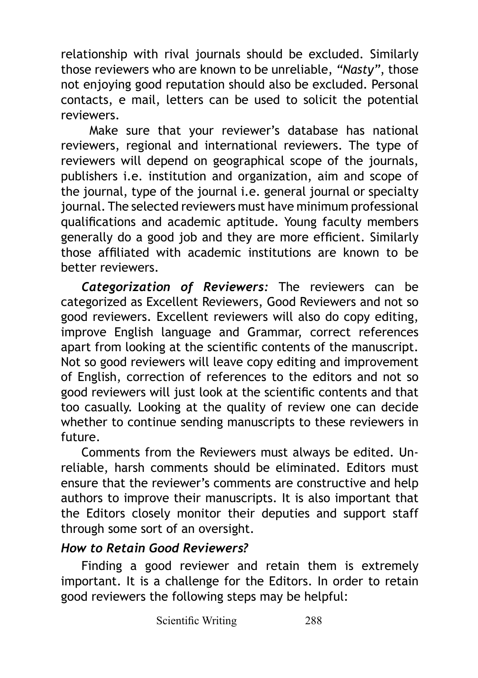relationship with rival journals should be excluded. Similarly those reviewers who are known to be unreliable, *"Nasty"*, those not enjoying good reputation should also be excluded. Personal contacts, e mail, letters can be used to solicit the potential reviewers.

 Make sure that your reviewer's database has national reviewers, regional and international reviewers. The type of reviewers will depend on geographical scope of the journals, publishers i.e. institution and organization, aim and scope of the journal, type of the journal i.e. general journal or specialty journal. The selected reviewers must have minimum professional qualifications and academic aptitude. Young faculty members generally do a good job and they are more efficient. Similarly those affiliated with academic institutions are known to be better reviewers.

*Categorization of Reviewers:* The reviewers can be categorized as Excellent Reviewers, Good Reviewers and not so good reviewers. Excellent reviewers will also do copy editing, improve English language and Grammar, correct references apart from looking at the scientific contents of the manuscript. Not so good reviewers will leave copy editing and improvement of English, correction of references to the editors and not so good reviewers will just look at the scientific contents and that too casually. Looking at the quality of review one can decide whether to continue sending manuscripts to these reviewers in future.

Comments from the Reviewers must always be edited. Unreliable, harsh comments should be eliminated. Editors must ensure that the reviewer's comments are constructive and help authors to improve their manuscripts. It is also important that the Editors closely monitor their deputies and support staff through some sort of an oversight.

## *How to Retain Good Reviewers?*

Finding a good reviewer and retain them is extremely important. It is a challenge for the Editors. In order to retain good reviewers the following steps may be helpful: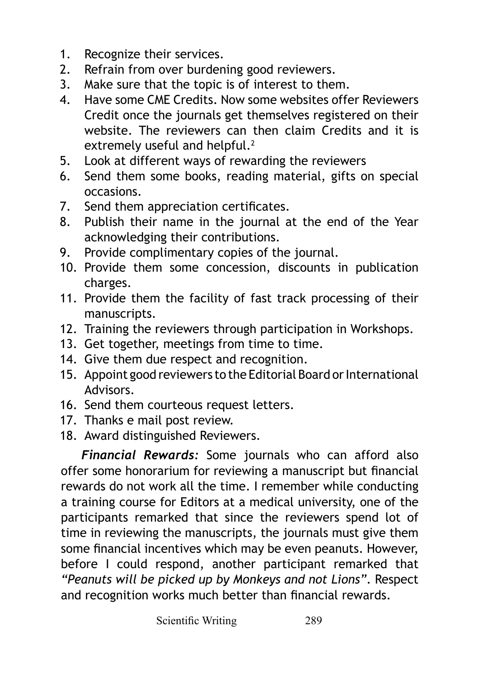- 1. Recognize their services.<br>2. Refrain from over burden
- Refrain from over burdening good reviewers.
- 3. Make sure that the topic is of interest to them.
- 4. Have some CME Credits. Now some websites offer Reviewers Credit once the journals get themselves registered on their website. The reviewers can then claim Credits and it is extremely useful and helpful.<sup>2</sup>
- 5. Look at different ways of rewarding the reviewers
- 6. Send them some books, reading material, gifts on special occasions.
- 7. Send them appreciation certificates.
- 8. Publish their name in the journal at the end of the Year acknowledging their contributions.
- 9. Provide complimentary copies of the journal.
- 10. Provide them some concession, discounts in publication charges.
- 11. Provide them the facility of fast track processing of their manuscripts.
- 12. Training the reviewers through participation in Workshops.
- 13. Get together, meetings from time to time.
- 14. Give them due respect and recognition.
- 15. Appoint good reviewers to the Editorial Board or International Advisors.
- 16. Send them courteous request letters.
- 17. Thanks e mail post review.
- 18. Award distinguished Reviewers.

*Financial Rewards:* Some journals who can afford also offer some honorarium for reviewing a manuscript but financial rewards do not work all the time. I remember while conducting a training course for Editors at a medical university, one of the participants remarked that since the reviewers spend lot of time in reviewing the manuscripts, the journals must give them some financial incentives which may be even peanuts. However, before I could respond, another participant remarked that *"Peanuts will be picked up by Monkeys and not Lions"*. Respect and recognition works much better than financial rewards.